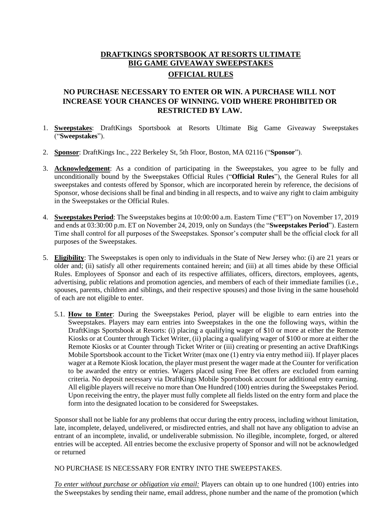# **DRAFTKINGS SPORTSBOOK AT RESORTS ULTIMATE BIG GAME GIVEAWAY SWEEPSTAKES OFFICIAL RULES**

## **NO PURCHASE NECESSARY TO ENTER OR WIN. A PURCHASE WILL NOT INCREASE YOUR CHANCES OF WINNING. VOID WHERE PROHIBITED OR RESTRICTED BY LAW.**

- 1. **Sweepstakes**: DraftKings Sportsbook at Resorts Ultimate Big Game Giveaway Sweepstakes ("**Sweepstakes**").
- 2. **Sponsor**: DraftKings Inc., 222 Berkeley St, 5th Floor, Boston, MA 02116 ("**Sponsor**").
- 3. **Acknowledgement**: As a condition of participating in the Sweepstakes, you agree to be fully and unconditionally bound by the Sweepstakes Official Rules ("**Official Rules**"), the General Rules for all sweepstakes and contests offered by Sponsor, which are incorporated herein by reference, the decisions of Sponsor, whose decisions shall be final and binding in all respects, and to waive any right to claim ambiguity in the Sweepstakes or the Official Rules.
- 4. **Sweepstakes Period**: The Sweepstakes begins at 10:00:00 a.m. Eastern Time ("ET") on November 17, 2019 and ends at 03:30:00 p.m. ET on November 24, 2019, only on Sundays (the "**Sweepstakes Period**"). Eastern Time shall control for all purposes of the Sweepstakes. Sponsor's computer shall be the official clock for all purposes of the Sweepstakes.
- 5. **Eligibility**: The Sweepstakes is open only to individuals in the State of New Jersey who: (i) are 21 years or older and; (ii) satisfy all other requirements contained herein; and (iii) at all times abide by these Official Rules. Employees of Sponsor and each of its respective affiliates, officers, directors, employees, agents, advertising, public relations and promotion agencies, and members of each of their immediate families (i.e., spouses, parents, children and siblings, and their respective spouses) and those living in the same household of each are not eligible to enter.
	- 5.1. **How to Enter**: During the Sweepstakes Period, player will be eligible to earn entries into the Sweepstakes. Players may earn entries into Sweepstakes in the one the following ways, within the DraftKings Sportsbook at Resorts: (i) placing a qualifying wager of \$10 or more at either the Remote Kiosks or at Counter through Ticket Writer, (ii) placing a qualifying wager of \$100 or more at either the Remote Kiosks or at Counter through Ticket Writer or (iii) creating or presenting an active DraftKings Mobile Sportsbook account to the Ticket Writer (max one (1) entry via entry method iii). If player places wager at a Remote Kiosk location, the player must present the wager made at the Counter for verification to be awarded the entry or entries. Wagers placed using Free Bet offers are excluded from earning criteria. No deposit necessary via DraftKings Mobile Sportsbook account for additional entry earning. All eligible players will receive no more than One Hundred (100) entries during the Sweepstakes Period. Upon receiving the entry, the player must fully complete all fields listed on the entry form and place the form into the designated location to be considered for Sweepstakes.

Sponsor shall not be liable for any problems that occur during the entry process, including without limitation, late, incomplete, delayed, undelivered, or misdirected entries, and shall not have any obligation to advise an entrant of an incomplete, invalid, or undeliverable submission. No illegible, incomplete, forged, or altered entries will be accepted. All entries become the exclusive property of Sponsor and will not be acknowledged or returned

NO PURCHASE IS NECESSARY FOR ENTRY INTO THE SWEEPSTAKES.

*To enter without purchase or obligation via email:* Players can obtain up to one hundred (100) entries into the Sweepstakes by sending their name, email address, phone number and the name of the promotion (which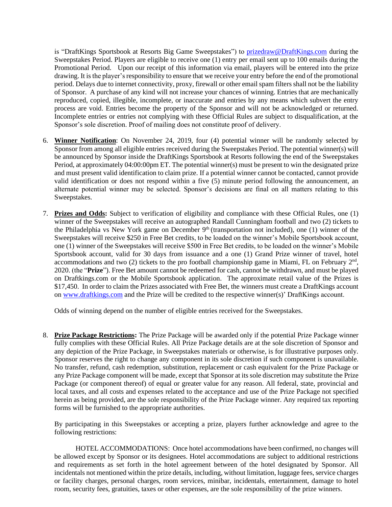is "DraftKings Sportsbook at Resorts Big Game Sweepstakes") to [prizedraw@DraftKings.com](mailto:prizedraw@DraftKings.com) during the Sweepstakes Period. Players are eligible to receive one (1) entry per email sent up to 100 emails during the Promotional Period. Upon our receipt of this information via email, players will be entered into the prize drawing. It is the player's responsibility to ensure that we receive your entry before the end of the promotional period. Delays due to internet connectivity, proxy, firewall or other email spam filters shall not be the liability of Sponsor. A purchase of any kind will not increase your chances of winning. Entries that are mechanically reproduced, copied, illegible, incomplete, or inaccurate and entries by any means which subvert the entry process are void. Entries become the property of the Sponsor and will not be acknowledged or returned. Incomplete entries or entries not complying with these Official Rules are subject to disqualification, at the Sponsor's sole discretion. Proof of mailing does not constitute proof of delivery.

- 6. **Winner Notification**: On November 24, 2019, four (4) potential winner will be randomly selected by Sponsor from among all eligible entries received during the Sweepstakes Period. The potential winner(s) will be announced by Sponsor inside the DraftKings Sportsbook at Resorts following the end of the Sweepstakes Period, at approximately 04:00:00pm ET. The potential winner(s) must be present to win the designated prize and must present valid identification to claim prize. If a potential winner cannot be contacted, cannot provide valid identification or does not respond within a five (5) minute period following the announcement, an alternate potential winner may be selected. Sponsor's decisions are final on all matters relating to this Sweepstakes.
- 7. **Prizes and Odds:** Subject to verification of eligibility and compliance with these Official Rules, one (1) winner of the Sweepstakes will receive an autographed Randall Cunningham football and two (2) tickets to the Philadelphia vs New York game on December  $9<sup>th</sup>$  (transportation not included), one (1) winner of the Sweepstakes will receive \$250 in Free Bet credits, to be loaded on the winner's Mobile Sportsbook account, one (1) winner of the Sweepstakes will receive \$500 in Free Bet credits, to be loaded on the winner's Mobile Sportsbook account, valid for 30 days from issuance and a one (1) Grand Prize winner of travel, hotel accommodations and two  $(2)$  tickets to the pro football championship game in Miami, FL on February  $2<sup>nd</sup>$ , 2020. (the "**Prize**"). Free Bet amount cannot be redeemed for cash, cannot be withdrawn, and must be played on Draftkings.com or the Mobile Sportsbook application. The approximate retail value of the Prizes is \$17,450. In order to claim the Prizes associated with Free Bet, the winners must create a DraftKings account o[n www.draftkings.com](http://www.draftkings.com/) and the Prize will be credited to the respective winner(s)' DraftKings account.

Odds of winning depend on the number of eligible entries received for the Sweepstakes.

8. **Prize Package Restrictions:** The Prize Package will be awarded only if the potential Prize Package winner fully complies with these Official Rules. All Prize Package details are at the sole discretion of Sponsor and any depiction of the Prize Package, in Sweepstakes materials or otherwise, is for illustrative purposes only. Sponsor reserves the right to change any component in its sole discretion if such component is unavailable. No transfer, refund, cash redemption, substitution, replacement or cash equivalent for the Prize Package or any Prize Package component will be made, except that Sponsor at its sole discretion may substitute the Prize Package (or component thereof) of equal or greater value for any reason. All federal, state, provincial and local taxes, and all costs and expenses related to the acceptance and use of the Prize Package not specified herein as being provided, are the sole responsibility of the Prize Package winner. Any required tax reporting forms will be furnished to the appropriate authorities.

By participating in this Sweepstakes or accepting a prize, players further acknowledge and agree to the following restrictions:

 HOTEL ACCOMMODATIONS: Once hotel accommodations have been confirmed, no changes will be allowed except by Sponsor or its designees. Hotel accommodations are subject to additional restrictions and requirements as set forth in the hotel agreement between of the hotel designated by Sponsor. All incidentals not mentioned within the prize details, including, without limitation, luggage fees, service charges or facility charges, personal charges, room services, minibar, incidentals, entertainment, damage to hotel room, security fees, gratuities, taxes or other expenses, are the sole responsibility of the prize winners.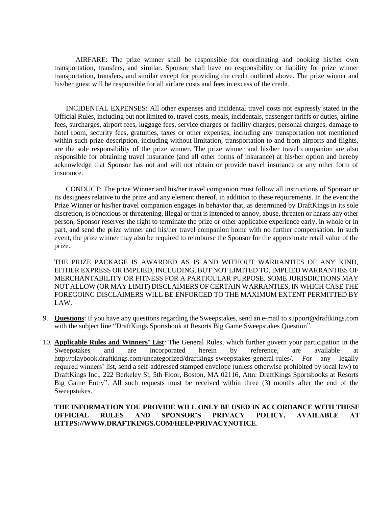AIRFARE: The prize winner shall be responsible for coordinating and booking his/her own transportation, transfers, and similar. Sponsor shall have no responsibility or liability for prize winner transportation, transfers, and similar except for providing the credit outlined above. The prize winner and his/her guest will be responsible for all airfare costs and fees in excess of the credit.

INCIDENTAL EXPENSES: All other expenses and incidental travel costs not expressly stated in the Official Rules, including but not limited to, travel costs, meals, incidentals, passenger tariffs or duties, airline fees, surcharges, airport fees, luggage fees, service charges or facility charges, personal charges, damage to hotel room, security fees, gratuities, taxes or other expenses, including any transportation not mentioned within such prize description, including without limitation, transportation to and from airports and flights, are the sole responsibility of the prize winner. The prize winner and his/her travel companion are also responsible for obtaining travel insurance (and all other forms of insurance) at his/her option and hereby acknowledge that Sponsor has not and will not obtain or provide travel insurance or any other form of insurance.

CONDUCT: The prize Winner and his/her travel companion must follow all instructions of Sponsor or its designees relative to the prize and any element thereof, in addition to these requirements. In the event the Prize Winner or his/her travel companion engages in behavior that, as determined by DraftKings in its sole discretion, is obnoxious or threatening, illegal or that is intended to annoy, abuse, threaten or harass any other person, Sponsor reserves the right to terminate the prize or other applicable experience early, in whole or in part, and send the prize winner and his/her travel companion home with no further compensation. In such event, the prize winner may also be required to reimburse the Sponsor for the approximate retail value of the prize.

THE PRIZE PACKAGE IS AWARDED AS IS AND WITHOUT WARRANTIES OF ANY KIND, EITHER EXPRESS OR IMPLIED, INCLUDING, BUT NOT LIMITED TO, IMPLIED WARRANTIES OF MERCHANTABILITY OR FITNESS FOR A PARTICULAR PURPOSE. SOME JURISDICTIONS MAY NOT ALLOW (OR MAY LIMIT) DISCLAIMERS OF CERTAIN WARRANTIES, IN WHICH CASE THE FOREGOING DISCLAIMERS WILL BE ENFORCED TO THE MAXIMUM EXTENT PERMITTED BY LAW.

- 9. **Questions**: If you have any questions regarding the Sweepstakes, send an e-mail t[o support@draftkings.com](mailto:realpatriots@patriots.com) with the subject line "DraftKings Sportsbook at Resorts Big Game Sweepstakes Question".
- 10. **Applicable Rules and Winners' List**: The General Rules, which further govern your participation in the Sweepstakes and are incorporated herein by reference, are available at http://playbook.draftkings.com/uncategorized/draftkings-sweepstakes-general-rules/. For any legally required winners' list, send a self-addressed stamped envelope (unless otherwise prohibited by local law) to DraftKings Inc., 222 Berkeley St, 5th Floor, Boston, MA 02116, Attn: DraftKings Sportsbooks at Resorts Big Game Entry". All such requests must be received within three (3) months after the end of the Sweepstakes.

#### **THE INFORMATION YOU PROVIDE WILL ONLY BE USED IN ACCORDANCE WITH THESE OFFICIAL RULES AND SPONSOR'S PRIVACY POLICY, AVAILABLE AT HTTPS://WWW.DRAFTKINGS.COM/HELP/PRIVACYNOTICE**.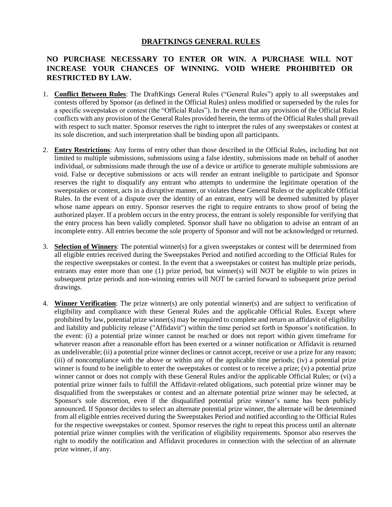### **DRAFTKINGS GENERAL RULES**

## **NO PURCHASE NECESSARY TO ENTER OR WIN. A PURCHASE WILL NOT INCREASE YOUR CHANCES OF WINNING. VOID WHERE PROHIBITED OR RESTRICTED BY LAW.**

- 1. **Conflict Between Rules**: The DraftKings General Rules ("General Rules") apply to all sweepstakes and contests offered by Sponsor (as defined in the Official Rules) unless modified or superseded by the rules for a specific sweepstakes or contest (the "Official Rules"). In the event that any provision of the Official Rules conflicts with any provision of the General Rules provided herein, the terms of the Official Rules shall prevail with respect to such matter. Sponsor reserves the right to interpret the rules of any sweepstakes or contest at its sole discretion, and such interpretation shall be binding upon all participants.
- 2. **Entry Restrictions**: Any forms of entry other than those described in the Official Rules, including but not limited to multiple submissions, submissions using a false identity, submissions made on behalf of another individual, or submissions made through the use of a device or artifice to generate multiple submissions are void. False or deceptive submissions or acts will render an entrant ineligible to participate and Sponsor reserves the right to disqualify any entrant who attempts to undermine the legitimate operation of the sweepstakes or contest, acts in a disruptive manner, or violates these General Rules or the applicable Official Rules. In the event of a dispute over the identity of an entrant, entry will be deemed submitted by player whose name appears on entry. Sponsor reserves the right to require entrants to show proof of being the authorized player. If a problem occurs in the entry process, the entrant is solely responsible for verifying that the entry process has been validly completed. Sponsor shall have no obligation to advise an entrant of an incomplete entry. All entries become the sole property of Sponsor and will not be acknowledged or returned.
- 3. **Selection of Winners**: The potential winner(s) for a given sweepstakes or contest will be determined from all eligible entries received during the Sweepstakes Period and notified according to the Official Rules for the respective sweepstakes or contest. In the event that a sweepstakes or contest has multiple prize periods, entrants may enter more than one (1) prize period, but winner(s) will NOT be eligible to win prizes in subsequent prize periods and non-winning entries will NOT be carried forward to subsequent prize period drawings.
- 4. **Winner Verification**: The prize winner(s) are only potential winner(s) and are subject to verification of eligibility and compliance with these General Rules and the applicable Official Rules. Except where prohibited by law, potential prize winner(s) may be required to complete and return an affidavit of eligibility and liability and publicity release ("Affidavit") within the time period set forth in Sponsor's notification. In the event: (i) a potential prize winner cannot be reached or does not report within given timeframe for whatever reason after a reasonable effort has been exerted or a winner notification or Affidavit is returned as undeliverable; (ii) a potential prize winner declines or cannot accept, receive or use a prize for any reason; (iii) of noncompliance with the above or within any of the applicable time periods; (iv) a potential prize winner is found to be ineligible to enter the sweepstakes or contest or to receive a prize; (v) a potential prize winner cannot or does not comply with these General Rules and/or the applicable Official Rules; or (vi) a potential prize winner fails to fulfill the Affidavit-related obligations, such potential prize winner may be disqualified from the sweepstakes or contest and an alternate potential prize winner may be selected, at Sponsor's sole discretion, even if the disqualified potential prize winner's name has been publicly announced. If Sponsor decides to select an alternate potential prize winner, the alternate will be determined from all eligible entries received during the Sweepstakes Period and notified according to the Official Rules for the respective sweepstakes or contest. Sponsor reserves the right to repeat this process until an alternate potential prize winner complies with the verification of eligibility requirements. Sponsor also reserves the right to modify the notification and Affidavit procedures in connection with the selection of an alternate prize winner, if any.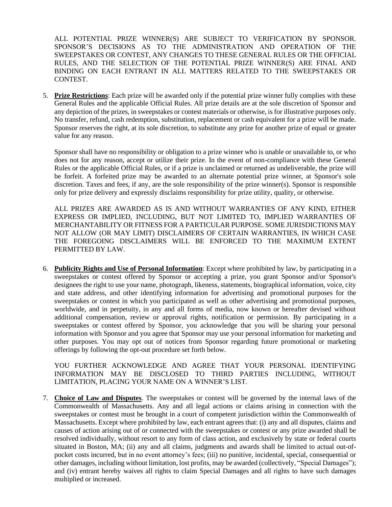ALL POTENTIAL PRIZE WINNER(S) ARE SUBJECT TO VERIFICATION BY SPONSOR. SPONSOR'S DECISIONS AS TO THE ADMINISTRATION AND OPERATION OF THE SWEEPSTAKES OR CONTEST, ANY CHANGES TO THESE GENERAL RULES OR THE OFFICIAL RULES, AND THE SELECTION OF THE POTENTIAL PRIZE WINNER(S) ARE FINAL AND BINDING ON EACH ENTRANT IN ALL MATTERS RELATED TO THE SWEEPSTAKES OR CONTEST.

5. **Prize Restrictions**: Each prize will be awarded only if the potential prize winner fully complies with these General Rules and the applicable Official Rules. All prize details are at the sole discretion of Sponsor and any depiction of the prizes, in sweepstakes or contest materials or otherwise, is for illustrative purposes only. No transfer, refund, cash redemption, substitution, replacement or cash equivalent for a prize will be made. Sponsor reserves the right, at its sole discretion, to substitute any prize for another prize of equal or greater value for any reason.

Sponsor shall have no responsibility or obligation to a prize winner who is unable or unavailable to, or who does not for any reason, accept or utilize their prize. In the event of non-compliance with these General Rules or the applicable Official Rules, or if a prize is unclaimed or returned as undeliverable, the prize will be forfeit. A forfeited prize may be awarded to an alternate potential prize winner, at Sponsor's sole discretion. Taxes and fees, if any, are the sole responsibility of the prize winner(s). Sponsor is responsible only for prize delivery and expressly disclaims responsibility for prize utility, quality, or otherwise.

ALL PRIZES ARE AWARDED AS IS AND WITHOUT WARRANTIES OF ANY KIND, EITHER EXPRESS OR IMPLIED, INCLUDING, BUT NOT LIMITED TO, IMPLIED WARRANTIES OF MERCHANTABILITY OR FITNESS FOR A PARTICULAR PURPOSE. SOME JURISDICTIONS MAY NOT ALLOW (OR MAY LIMIT) DISCLAIMERS OF CERTAIN WARRANTIES, IN WHICH CASE THE FOREGOING DISCLAIMERS WILL BE ENFORCED TO THE MAXIMUM EXTENT PERMITTED BY LAW.

6. **Publicity Rights and Use of Personal Information**: Except where prohibited by law, by participating in a sweepstakes or contest offered by Sponsor or accepting a prize, you grant Sponsor and/or Sponsor's designees the right to use your name, photograph, likeness, statements, biographical information, voice, city and state address, and other identifying information for advertising and promotional purposes for the sweepstakes or contest in which you participated as well as other advertising and promotional purposes, worldwide, and in perpetuity, in any and all forms of media, now known or hereafter devised without additional compensation, review or approval rights, notification or permission. By participating in a sweepstakes or contest offered by Sponsor, you acknowledge that you will be sharing your personal information with Sponsor and you agree that Sponsor may use your personal information for marketing and other purposes. You may opt out of notices from Sponsor regarding future promotional or marketing offerings by following the opt-out procedure set forth below.

YOU FURTHER ACKNOWLEDGE AND AGREE THAT YOUR PERSONAL IDENTIFYING INFORMATION MAY BE DISCLOSED TO THIRD PARTIES INCLUDING, WITHOUT LIMITATION, PLACING YOUR NAME ON A WINNER'S LIST.

7. **Choice of Law and Disputes**. The sweepstakes or contest will be governed by the internal laws of the Commonwealth of Massachusetts. Any and all legal actions or claims arising in connection with the sweepstakes or contest must be brought in a court of competent jurisdiction within the Commonwealth of Massachusetts. Except where prohibited by law, each entrant agrees that: (i) any and all disputes, claims and causes of action arising out of or connected with the sweepstakes or contest or any prize awarded shall be resolved individually, without resort to any form of class action, and exclusively by state or federal courts situated in Boston, MA; (ii) any and all claims, judgments and awards shall be limited to actual out-ofpocket costs incurred, but in no event attorney's fees; (iii) no punitive, incidental, special, consequential or other damages, including without limitation, lost profits, may be awarded (collectively, "Special Damages"); and (iv) entrant hereby waives all rights to claim Special Damages and all rights to have such damages multiplied or increased.